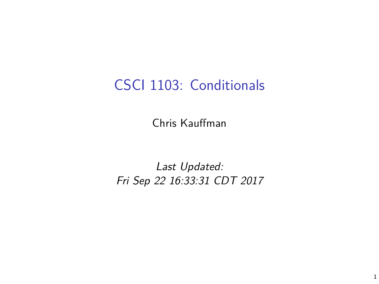## CSCI 1103: Conditionals

Chris Kauffman

Last Updated: Fri Sep 22 16:33:31 CDT 2017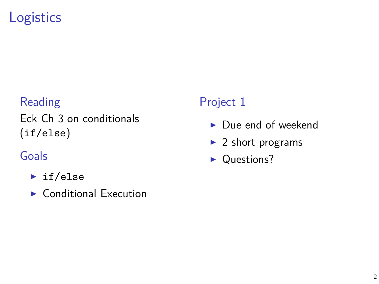# **Logistics**

#### Reading

Eck Ch 3 on conditionals (if/else)

### Goals

- $\blacktriangleright$  if/else
- $\blacktriangleright$  Conditional Execution

#### Project 1

- $\blacktriangleright$  Due end of weekend
- $\blacktriangleright$  2 short programs
- $\blacktriangleright$  Questions?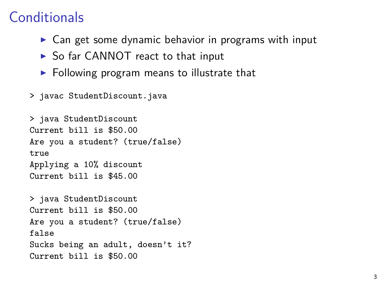## **Conditionals**

- $\triangleright$  Can get some dynamic behavior in programs with input
- $\triangleright$  So far CANNOT react to that input
- $\triangleright$  Following program means to illustrate that
- > javac StudentDiscount.java

```
> java StudentDiscount
Current bill is $50.00
Are you a student? (true/false)
true
Applying a 10% discount
Current bill is $45.00
```

```
> java StudentDiscount
Current bill is $50.00
Are you a student? (true/false)
false
Sucks being an adult, doesn't it?
Current bill is $50.00
```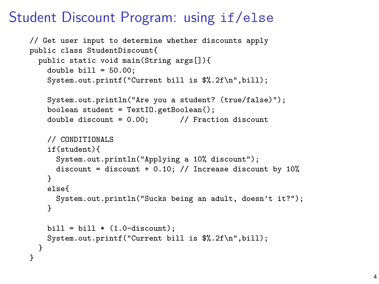## Student Discount Program: using if/else

```
// Get user input to determine whether discounts apply
public class StudentDiscount{
 public static void main(String args[]){
   double bill = 50.00:
   System.out.printf("Current bill is $%.2f\n",bill);
   System.out.println("Are you a student? (true/false)");
    boolean student = TextIO.getBoolean();
   double discount = 0.00; // Fraction discount
   // CONDITIONALS
    if(student){
      System.out.println("Applying a 10% discount");
      discount = discount + 0.10; // Increase discount by 10\%}
   else{
      System.out.println("Sucks being an adult, doesn't it?");
    }
    bill = bill * (1.0 - discount):System.out.printf("Current bill is $%.2f\n",bill);
 }
}
```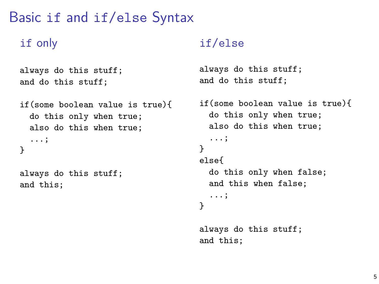## Basic if and if/else Syntax

#### if only

```
always do this stuff;
and do this stuff;
```

```
if(some boolean value is true){
  do this only when true;
  also do this when true;
  ...;
}
```
always do this stuff; and this;

#### if/else

```
always do this stuff;
and do this stuff;
```

```
if(some boolean value is true){
  do this only when true;
  also do this when true;
  ...;
}
else{
  do this only when false;
  and this when false;
  ...;
}
```

```
always do this stuff;
and this;
```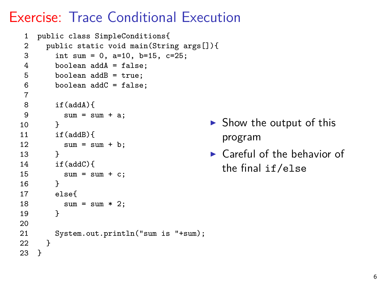# Exercise: Trace Conditional Execution

```
1 public class SimpleConditions{
 2 public static void main(String args[]){<br>3 int sum = 0 a=10 b=15 c=25.
         int sum = 0, a=10, b=15, c=25;
 4 boolean addA = false;
 5 boolean addB = true;<br>6 boolean addC = falseboolean addC = false:
 \frac{7}{8}8 if(addA){<br>9 sum = s
           sum = sum + a;
\begin{matrix} 10 & 1 \end{matrix}if(addB)12 sum = sum + b;
13 }
14 if(addC){
15 sum = sum + c;<br>16 }
16 }
17 else{
18 sum = sum * 2;19 }
20
21 System.out.println("sum is "+sum);<br>22 }
22 }
23 }
```
- $\triangleright$  Show the output of this program
- $\blacktriangleright$  Careful of the behavior of the final if/else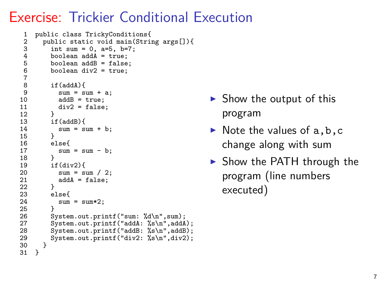## Exercise: Trickier Conditional Execution

```
1 public class TrickyConditions{
 2 public static void main(String args[]){<br>3 int sum = 0, a=5, b=7;
 3 int sum = 0, a=5, b=7;<br>4 boolean addA = true;
 4 boolean addA = true;<br>5 boolean addB = false
 5 boolean addB = false;<br>6 boolean div2 = true;
             boolean div2 = true;
 7
 8 \quad \text{if(addA)}\{9\}9 \text{sum} = \text{sum} + a;<br>10 \text{add}R = \text{true}.10 addB = true;<br>11 div2 = false
             \frac{1}{2} div2 = false;
\frac{12}{13}13 if(addB){<br>14 sum = s
             sum = sum + b;\frac{15}{16}16 else{<br>17 sum
             sum = sum - b;\frac{18}{19}19 if\,(div2)\{<br>20 sin\theta = 520 sum = sum / 2;<br>21 addA = false:
                addA = false;\frac{22}{23}23 else{<br>24 sum
                sum = sum*2;
\frac{25}{26}26 System.out.printf("sum: %d\n",sum);<br>27 System.out.printf("addA: %s\n".addA
27 System.out.printf("addA: %s\n",addA);<br>28 System.out.printf("addB: %s\n".addB):
28 System.out.printf("addB: %s\n",addB);<br>29 System.out.printf("div2: %s\n".div2):
             System.out.printf("div2: %s\n",div2);
30 }
31 }
```
- $\triangleright$  Show the output of this program
- $\triangleright$  Note the values of a, b, c change along with sum
- $\triangleright$  Show the PATH through the program (line numbers executed)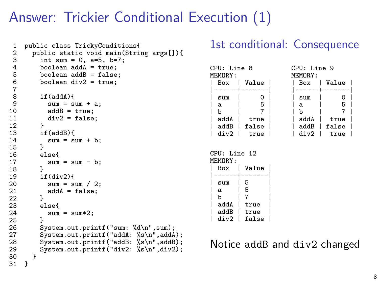# Answer: Trickier Conditional Execution (1)

```
1 public class TrickyConditions{
 2 public static void main(String args[]){<br>3 int sum = 0, a=5, b=7;
 3 int sum = 0, a=5, b=7;<br>4 boolean addA = true:
 4 boolean addA = true;<br>5 boolean addB = false
 5 boolean addB = false;<br>6 boolean div2 = true;
            boolean div2 = true;
 7
 8 if(addA){<br>9 sum = s
9 sum = sum + a;<br>10 addB = true:
10 addB = true;<br>11 div2 = false
            div2 = false;\frac{12}{13}13 if(addB){
            sum = sum + b;\frac{15}{16}16 else{
               sum = sum - b;
18<br>19
19 if(div2){<br>20 sum = s
20 sum = sum / 2;<br>21 addA = false:
            \text{addA} = \text{false};22 }
23 else{
               sum = sum*2;
\frac{25}{26}26 System.out.printf("sum: %d\n",sum);<br>27 System.out.printf("addA: %s\n".addA
27 System.out.printf("addA: %s\n",addA);<br>28 System.out.printf("addB: %s\n".addB):
28 System.out.printf("addB: %s\n",addB);<br>29 System.out.printf("div2: %s\n",div2);
         System.out.printf("div2: %s\n",div2);<br>}
30 }
31 }
```
#### 1st conditional: Consequence

| CPU: Line 8<br>MEMORY: |      |       | CPU: Line 9<br>MEMORY: |      |  |       |  |
|------------------------|------|-------|------------------------|------|--|-------|--|
|                        | Box  | Value |                        | Box  |  | Value |  |
|                        |      |       |                        |      |  |       |  |
|                        | sum  |       |                        | sum  |  |       |  |
|                        | a    | 5     |                        | a    |  | 5     |  |
|                        | b    |       |                        | b    |  |       |  |
|                        | addA | true  |                        | addA |  | true  |  |
|                        | addB | false |                        | addB |  | false |  |
|                        | div? | true  |                        | div? |  | true  |  |
|                        |      |       |                        |      |  |       |  |

```
CPU: Line 12
MEMORY:<br>| Box
        | Value
  -----+-------<br>sum | 5
  | sum | 5<br>| 5 | 5
| a | 5 |
| b | 7 |
  addA | true
  | addB | true |
  div2 | false
```
Notice addB and div2 changed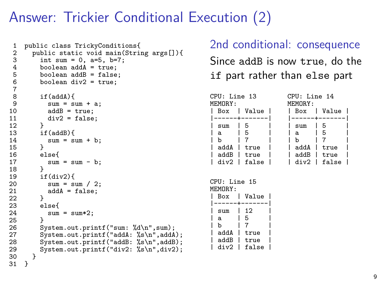# Answer: Trickier Conditional Execution (2)

```
1 public class TrickyConditions{
 2 public static void main(String args[]){<br>3 int sum = 0, a=5, b=7;
 3 int sum = 0, a=5, b=7;<br>4 boolean addA = true:
 4 boolean addA = true;<br>5 boolean addB = false
            boolean addB = false:
            boolean div2 = true;
 \begin{array}{c} 6 \\ 7 \\ 8 \end{array}8 if(addA){<br>9 sum = s
9 sum = sum + a;<br>10 addB = true:
10 addB = true;<br>11 div2 = false
            div2 = false;\frac{12}{13}13 if(addB){
            sum = sum + b;\frac{15}{16}16 else{
               sum = sum - b;
18<br>19
19 if(div2){<br>20 sum = s
20 sum = sum / 2;<br>21 addA = false:
            \text{addA} = \text{false};22 }
23 else{
               sum = sum*2;
\frac{25}{26}26 System.out.printf("sum: %d\n",sum);<br>27 System.out.printf("addA: %s\n".addA
27 System.out.printf("addA: %s\n",addA);<br>28 System.out.printf("addB: %s\n".addB):
28 System.out.printf("addB: %s\n",addB);<br>29 System.out.printf("div2: %s\n",div2);
         System.out.printf("div2: %s\n",div2);<br>}
30 }
31 }
```
#### 2nd conditional: consequence

Since addB is now true, do the if part rather than else part

| CPU: Line 13<br>MEMORY: |                | CPU: Line 14<br>MEMORY: |                |  |  |
|-------------------------|----------------|-------------------------|----------------|--|--|
|                         | Box   Value    |                         | Box   Value    |  |  |
|                         | ------+------- |                         | ------+------- |  |  |
| sum                     | 5              | sum                     | 5              |  |  |
| a                       | - 5            | a                       | 5              |  |  |
| h                       |                | h                       |                |  |  |
| addA                    | true           | addA                    | true           |  |  |
| addB                    | true           | addB                    | true           |  |  |
|                         | div2   false   |                         | $div2$   false |  |  |

| CPU: Line 15<br>MEMORY: |     |               |  |
|-------------------------|-----|---------------|--|
| Box                     | L   | Value         |  |
| $-----+--$              |     | . - - - - - 1 |  |
| sum                     |     | 12            |  |
| a                       |     | 5             |  |
| b                       |     | 7             |  |
| addA                    | - 1 | true          |  |
| addB                    | L   | true          |  |
|                         |     | div2   false  |  |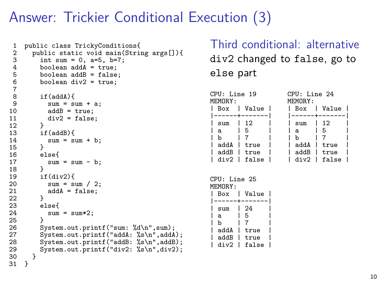# Answer: Trickier Conditional Execution (3)

```
1 public class TrickyConditions{
 2 public static void main(String args[]){<br>3 int sum = 0, a=5, b=7;
 3 int sum = 0, a=5, b=7;<br>4 boolean addA = true:
 4 boolean addA = true;<br>5 boolean addB = false
             boolean addB = false:
             boolean div2 = true;
 \begin{array}{c} 6 \\ 7 \\ 8 \end{array}8 \quad \text{if}(\text{addA})\{<br>9 \quad \text{sum} = s9 sum = sum + a;<br>10 addB = true:
10 addB = true;<br>11 div2 = false
             div2 = false;\frac{12}{13}13 if(addB){
             sum = sum + b;\frac{15}{16}16 else{
                sum = sum - b;
18<br>19
19 if \frac{div2}{19}<br>20 sum = s
20 sum = sum / 2;<br>21 addA = false:
             \text{addA} = \text{false};22 }
23 else{<br>24 sum
                sum = sum*2;
\frac{25}{26}26 System.out.printf("sum: %d\n",sum);<br>27 System.out.printf("addA: %s\n".addA
27 System.out.printf("addA: %s\n",addA);<br>28 System.out.printf("addB: %s\n".addB):
28 System.out.printf("addB: %s\n",addB);<br>29 System.out.printf("div2: %s\n",div2);
          System.out.printf("div2: %s\n",div2);<br>}
30 }
31 }
```
Third conditional: alternative div2 changed to false, go to else part

| CPU: Line 19<br>MEMORY: |                               | CPU: Line 24<br>MEMORY: |                |  |
|-------------------------|-------------------------------|-------------------------|----------------|--|
|                         | Box   Value                   |                         | Box   Value    |  |
|                         | . - - - - - + - - - - - - - 1 |                         | ------+------- |  |
| sum                     | 12                            | sum                     | -12            |  |
| a                       | -5                            | a                       | 5              |  |
| b                       |                               | b                       |                |  |
| addA                    | true                          | addA                    | true           |  |
| addB                    | true                          | addB                    | true           |  |
| Cvih                    | l false                       |                         | $div2$   false |  |

| CPU: Line 25<br>MEMORY: |              |  |
|-------------------------|--------------|--|
| Box I                   | Value        |  |
| ------+-                | -----        |  |
| sum                     | 24           |  |
| a                       | 5            |  |
| h                       | 7            |  |
| addA                    | true         |  |
| addB                    | true         |  |
|                         | div2   false |  |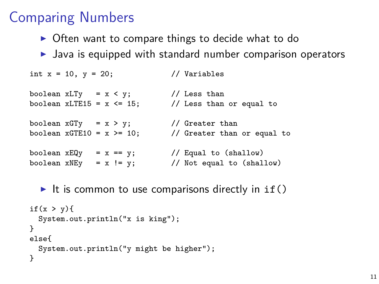## Comparing Numbers

- $\triangleright$  Often want to compare things to decide what to do
- $\blacktriangleright$  Java is equipped with standard number comparison operators

```
int x = 10, y = 20; // Variables
boolean xLTy = x < y; // Less than
boolean xLTE15 = x \le 15; // Less than or equal to
boolean xGTy = x > y; // Greater than
boolean xGTE10 = x >= 10; // Greater than or equal to
boolean x \to Qy = x == y; // Equal to (shallow)
boolean xNEy = x != y; // Not equal to (shallow)
```
It is common to use comparisons directly in  $if()$ 

```
if(x > y){
  System.out.println("x is king");
}
else{
  System.out.println("y might be higher");
}
```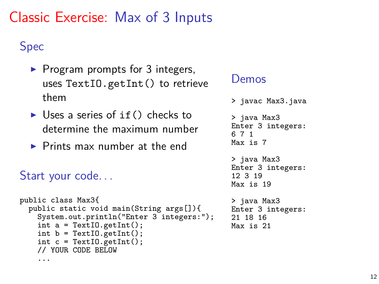# Classic Exercise: Max of 3 Inputs

## Spec

- $\blacktriangleright$  Program prompts for 3 integers, uses TextIO.getInt() to retrieve them
- I Uses a series of  $if()$  checks to determine the maximum number
- $\blacktriangleright$  Prints max number at the end

### Start your code. . .

```
public class Max3{
  public static void main(String args[]){
    System.out.println("Enter 3 integers:");
    int a = TextIO.getInt();
    int b = \text{TextI0.getInt()};int c = \text{TextI0.getInt}();
    // YOUR CODE BELOW
    ...
```
#### Demos

```
> javac Max3.java
> java Max3
Enter 3 integers:
6 7 1
Max is 7
> java Max3
Enter 3 integers:
12 3 19
Max is 19
> java Max3
Enter 3 integers:
21 18 16
Max is 21
```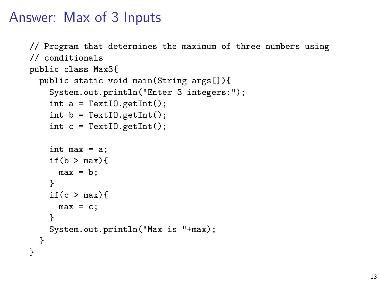## Answer: Max of 3 Inputs

```
// Program that determines the maximum of three numbers using
// conditionals
public class Max3{
  public static void main(String args[]){
    System.out.println("Enter 3 integers:");
    int a = \text{TextI0.getInt}();
    int b = \text{TextI0.getInt}();
    int c = \text{TextI0.getInt}();
    int max = a;
    if(b > max)max = b;
    }
    if(c > max){
      max = c;
    }
    System.out.println("Max is "+max);
  }
}
```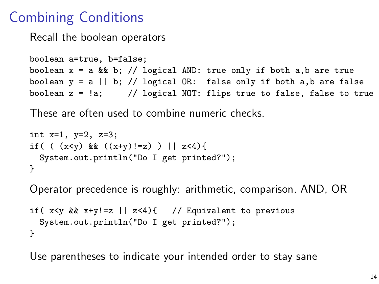# Combining Conditions

Recall the boolean operators

```
boolean a=true, b=false;
boolean x = a \& b; // logical AND: true only if both a,b are true
boolean y = a \mid b; // logical OR: false only if both a,b are false
boolean z = \langle a; \rangle // logical NOT: flips true to false, false to true
```
These are often used to combine numeric checks.

```
int x=1, y=2, z=3;
if( (x < y) & ((x+y)!=z) ) || z<4){
 System.out.println("Do I get printed?");
}
```
Operator precedence is roughly: arithmetic, comparison, AND, OR

```
if( x \le y && x+y!=z || z \le 4){ // Equivalent to previous
  System.out.println("Do I get printed?");
}
```
Use parentheses to indicate your intended order to stay sane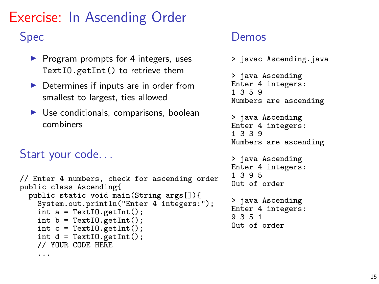# Exercise: In Ascending Order

#### Spec

- $\blacktriangleright$  Program prompts for 4 integers, uses TextIO.getInt() to retrieve them
- $\blacktriangleright$  Determines if inputs are in order from smallest to largest, ties allowed
- $\triangleright$  Use conditionals, comparisons, boolean combiners

#### Start your code. . .

```
// Enter 4 numbers, check for ascending order
public class Ascending{
  public static void main(String args[]){
    System.out.println("Enter 4 integers:");
    int a = TextIO.getInt();
    int b = \text{TextI0.getInt}();
    int c = \text{TextI0.getInt}();
    int d = \text{TextI0.getInt}();
    // YOUR CODE HERE
    ...
```
#### Demos

```
> javac Ascending.java
> java Ascending
Enter 4 integers:
1 3 5 9
Numbers are ascending
> java Ascending
Enter 4 integers:
1 3 3 9
Numbers are ascending
> java Ascending
Enter 4 integers:
1 3 9 5
Out of order
> java Ascending
Enter 4 integers:
9 3 5 1
Out of order
```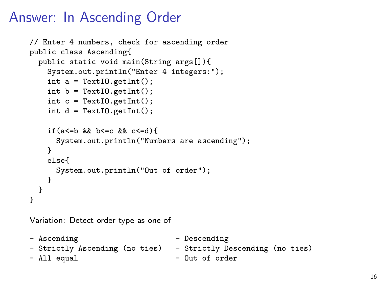# Answer: In Ascending Order

```
// Enter 4 numbers, check for ascending order
public class Ascending{
  public static void main(String args[]){
    System.out.println("Enter 4 integers:");
    int a = \text{TextI0.getInt}();
    int b = \text{TextI0.getInt}();
    int c = \text{TextI0.getInt}();
    int d = \text{TextI0.getInt}();
    if(a\leq=b && b\leq=c && c\leq=d){
      System.out.println("Numbers are ascending");
    }
    else{
      System.out.println("Out of order");
    }
  }
}
```
Variation: Detect order type as one of

- Ascending - Descending - Strictly Ascending (no ties) - Strictly Descending (no ties) - All equal  $-$  Out of order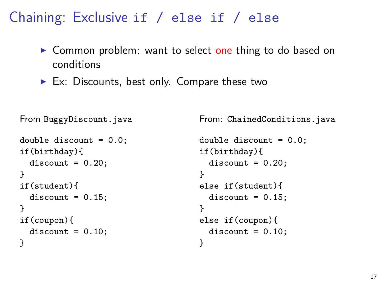## Chaining: Exclusive if / else if / else

- ▶ Common problem: want to select one thing to do based on conditions
- $\blacktriangleright$  Ex: Discounts, best only. Compare these two

```
From BuggyDiscount.java
double discount = 0.0;
if(birthday){
  discount = 0.20;}
if(student){
  discount = 0.15;}
if(coupon){
  discount = 0.10;}
```
From: ChainedConditions.java

```
double discount = 0.0;
if(birthday){
  discount = 0.20;}
else if(student){
  discount = 0.15:
}
else if(coupon){
 discount = 0.10;}
```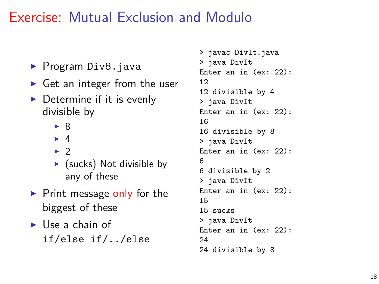# Exercise: Mutual Exclusion and Modulo

- $\blacktriangleright$  Program Div8. java
- $\triangleright$  Get an integer from the user
- $\triangleright$  Determine if it is evenly divisible by
	- $\triangleright$  8
	- $\blacktriangleright$  4
	- $\blacktriangleright$  2
	- $\triangleright$  (sucks) Not divisible by any of these
- $\blacktriangleright$  Print message only for the biggest of these
- $\blacktriangleright$  Use a chain of if/else if/../else

```
> javac DivIt.java
> java DivIt
Enter an in (ex: 22):
12
12 divisible by 4
> java DivIt
Enter an in (ex: 22):
16
16 divisible by 8
> java DivIt
Enter an in (ex: 22):
6
6 divisible by 2
> java DivIt
Enter an in (ex: 22):
15
15 sucks
> java DivIt
Enter an in (ex: 22):
24
24 divisible by 8
```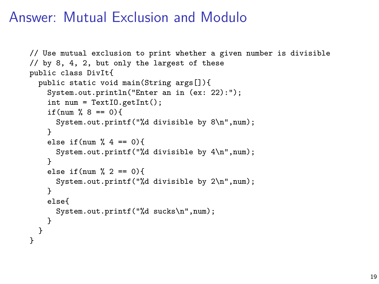## Answer: Mutual Exclusion and Modulo

```
// Use mutual exclusion to print whether a given number is divisible
// by 8, 4, 2, but only the largest of these
public class DivIt{
  public static void main(String args[]){
    System.out.println("Enter an in (ex: 22):");
    int num = TextIO.getInt();
    if(num % 8 == 0}{
      System.out.printf("%d divisible by 8\n",num);
    }
    else if(num % 4 == 0){
      System.out.printf("%d divisible by 4\n",num);
    }
    else if(num \frac{9}{6} 2 == 0){
      System.out.printf("%d divisible by 2\n",num);
    }
    else{
      System.out.printf("%d sucks\n",num);
   }
  }
}
```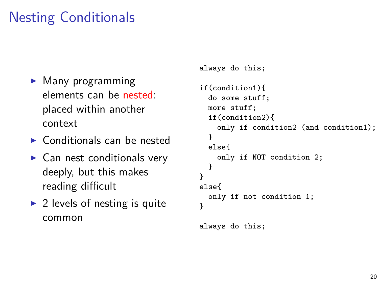# Nesting Conditionals

- $\blacktriangleright$  Many programming elements can be nested: placed within another context
- $\triangleright$  Conditionals can be nested
- $\blacktriangleright$  Can nest conditionals very deeply, but this makes reading difficult
- $\triangleright$  2 levels of nesting is quite common

```
always do this;
if(condition1){
  do some stuff;
 more stuff;
  if(condition2){
    only if condition2 (and condition1);
  }
  else{
    only if NOT condition 2;
  }
}
else{
  only if not condition 1;
}
always do this;
```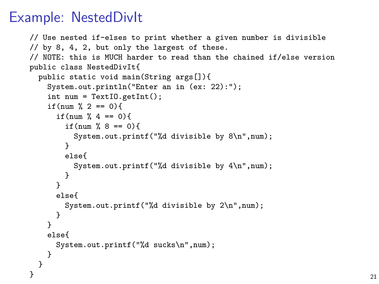## Example: NestedDivIt

```
// Use nested if-elses to print whether a given number is divisible
// by 8, 4, 2, but only the largest of these.
// NOTE: this is MUCH harder to read than the chained if/else version
public class NestedDivIt{
 public static void main(String args[]){
   System.out.println("Enter an in (ex: 22):");
   int num = TextIO.getInt();
   if(num \frac{9}{2} == 0){
     if(num % 4 == 0}
       if(num % 8 == 0}{
         System.out.printf("%d divisible by 8\n",num);
       }
       else{
         System.out.printf("%d divisible by 4\n",num);
       }
     }
     else{
       System.out.printf("%d divisible by 2\n",num);
     }
   }
   else{
     System.out.printf("%d sucks\n",num);
   }
 }
\} 21
```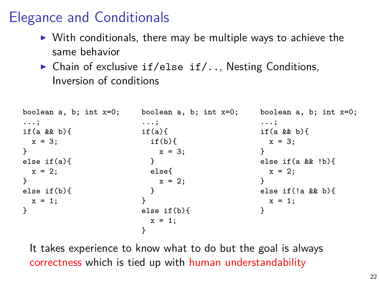# Elegance and Conditionals

- $\triangleright$  With conditionals, there may be multiple ways to achieve the same behavior
- $\triangleright$  Chain of exclusive if/else if/.., Nesting Conditions, Inversion of conditions

```
boolean a, b; int x=0;
...;
if(a && b){
  x = 3:
}
else if(a){
  x = 2:
}
else if(b){
 x = 1:
}
                            boolean a, b; int x=0;
                            ...;
                            if(a)if(b)x = 3:
                              }
                             else{
                                x = 2;
                              }
                            }
                            else if(b){
                              x = 1:
                            }
                                                        boolean a, b; int x=0;
                                                        ...;
                                                        if(a && b){
                                                          x = 3:
                                                        }
                                                        else if(a && !b){
                                                          x = 2:
                                                        }
                                                        else if(!a && b){
                                                          x = 1:
                                                        }
```
It takes experience to know what to do but the goal is always correctness which is tied up with human understandability